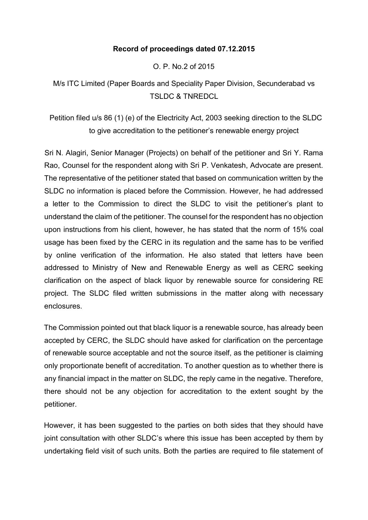### **Record of proceedings dated 07.12.2015**

O. P. No.2 of 2015

M/s ITC Limited (Paper Boards and Speciality Paper Division, Secunderabad vs TSLDC & TNREDCL

Petition filed u/s 86 (1) (e) of the Electricity Act, 2003 seeking direction to the SLDC to give accreditation to the petitioner's renewable energy project

Sri N. Alagiri, Senior Manager (Projects) on behalf of the petitioner and Sri Y. Rama Rao, Counsel for the respondent along with Sri P. Venkatesh, Advocate are present. The representative of the petitioner stated that based on communication written by the SLDC no information is placed before the Commission. However, he had addressed a letter to the Commission to direct the SLDC to visit the petitioner's plant to understand the claim of the petitioner. The counsel for the respondent has no objection upon instructions from his client, however, he has stated that the norm of 15% coal usage has been fixed by the CERC in its regulation and the same has to be verified by online verification of the information. He also stated that letters have been addressed to Ministry of New and Renewable Energy as well as CERC seeking clarification on the aspect of black liquor by renewable source for considering RE project. The SLDC filed written submissions in the matter along with necessary enclosures.

The Commission pointed out that black liquor is a renewable source, has already been accepted by CERC, the SLDC should have asked for clarification on the percentage of renewable source acceptable and not the source itself, as the petitioner is claiming only proportionate benefit of accreditation. To another question as to whether there is any financial impact in the matter on SLDC, the reply came in the negative. Therefore, there should not be any objection for accreditation to the extent sought by the petitioner.

However, it has been suggested to the parties on both sides that they should have joint consultation with other SLDC's where this issue has been accepted by them by undertaking field visit of such units. Both the parties are required to file statement of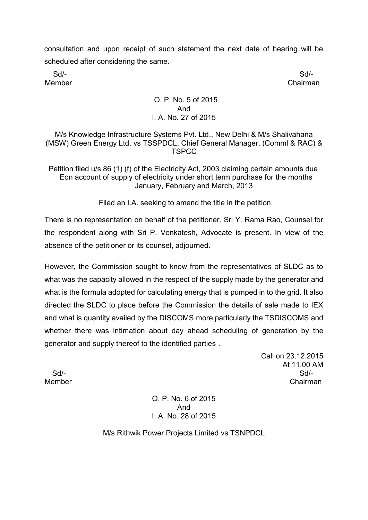consultation and upon receipt of such statement the next date of hearing will be scheduled after considering the same.

Sd/- Sd/- Member Chairman

## O. P. No. 5 of 2015 And I. A. No. 27 of 2015

M/s Knowledge Infrastructure Systems Pvt. Ltd., New Delhi & M/s Shalivahana (MSW) Green Energy Ltd. vs TSSPDCL, Chief General Manager, (Comml & RAC) & **TSPCC** 

Petition filed u/s 86 (1) (f) of the Electricity Act, 2003 claiming certain amounts due Eon account of supply of electricity under short term purchase for the months January, February and March, 2013

Filed an I.A. seeking to amend the title in the petition.

There is no representation on behalf of the petitioner. Sri Y. Rama Rao, Counsel for the respondent along with Sri P. Venkatesh, Advocate is present. In view of the absence of the petitioner or its counsel, adjourned.

However, the Commission sought to know from the representatives of SLDC as to what was the capacity allowed in the respect of the supply made by the generator and what is the formula adopted for calculating energy that is pumped in to the grid. It also directed the SLDC to place before the Commission the details of sale made to IEX and what is quantity availed by the DISCOMS more particularly the TSDISCOMS and whether there was intimation about day ahead scheduling of generation by the generator and supply thereof to the identified parties .

Call on 23.12.2015 At 11.00 AM Sd/- Sd/- Member Chairman

> O. P. No. 6 of 2015 And I. A. No. 28 of 2015

M/s Rithwik Power Projects Limited vs TSNPDCL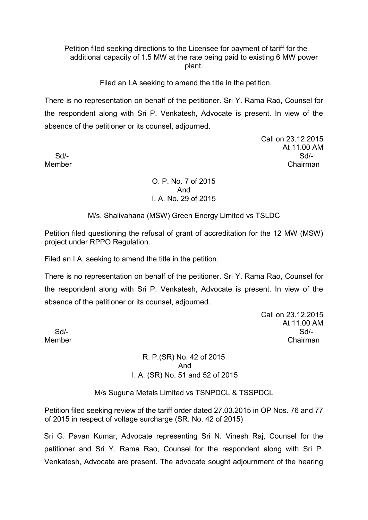Petition filed seeking directions to the Licensee for payment of tariff for the additional capacity of 1.5 MW at the rate being paid to existing 6 MW power plant.

Filed an I.A seeking to amend the title in the petition.

There is no representation on behalf of the petitioner. Sri Y. Rama Rao, Counsel for the respondent along with Sri P. Venkatesh, Advocate is present. In view of the absence of the petitioner or its counsel, adjourned.

Call on 23.12.2015 At 11.00 AM Sd/- Sd/- Member Chairman

### O. P. No. 7 of 2015 And I. A. No. 29 of 2015

M/s. Shalivahana (MSW) Green Energy Limited vs TSLDC

Petition filed questioning the refusal of grant of accreditation for the 12 MW (MSW) project under RPPO Regulation.

Filed an I.A. seeking to amend the title in the petition.

There is no representation on behalf of the petitioner. Sri Y. Rama Rao, Counsel for the respondent along with Sri P. Venkatesh, Advocate is present. In view of the absence of the petitioner or its counsel, adjourned.

Call on 23.12.2015 At 11.00 AM Sd/- Sd/- Member Chairman

R. P.(SR) No. 42 of 2015 And I. A. (SR) No. 51 and 52 of 2015

M/s Suguna Metals Limited vs TSNPDCL & TSSPDCL

Petition filed seeking review of the tariff order dated 27.03.2015 in OP Nos. 76 and 77 of 2015 in respect of voltage surcharge (SR. No. 42 of 2015)

Sri G. Pavan Kumar, Advocate representing Sri N. Vinesh Raj, Counsel for the petitioner and Sri Y. Rama Rao, Counsel for the respondent along with Sri P. Venkatesh, Advocate are present. The advocate sought adjournment of the hearing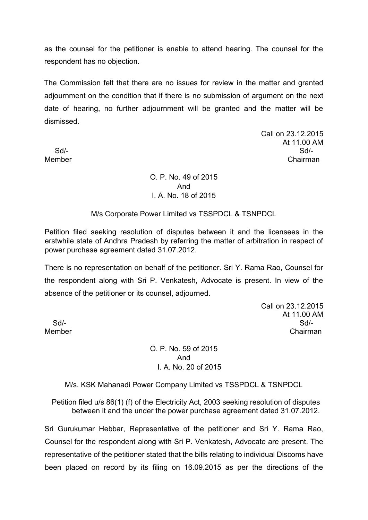as the counsel for the petitioner is enable to attend hearing. The counsel for the respondent has no objection.

The Commission felt that there are no issues for review in the matter and granted adjournment on the condition that if there is no submission of argument on the next date of hearing, no further adjournment will be granted and the matter will be dismissed.

Call on 23.12.2015 At 11.00 AM Sd/- Sd/- Member Chairman

# O. P. No. 49 of 2015 And I. A. No. 18 of 2015

### M/s Corporate Power Limited vs TSSPDCL & TSNPDCL

Petition filed seeking resolution of disputes between it and the licensees in the erstwhile state of Andhra Pradesh by referring the matter of arbitration in respect of power purchase agreement dated 31.07.2012.

There is no representation on behalf of the petitioner. Sri Y. Rama Rao, Counsel for the respondent along with Sri P. Venkatesh, Advocate is present. In view of the absence of the petitioner or its counsel, adjourned.

Call on 23.12.2015 At 11.00 AM Sd/- Sd/- Member Chairman

O. P. No. 59 of 2015 And I. A. No. 20 of 2015

### M/s. KSK Mahanadi Power Company Limited vs TSSPDCL & TSNPDCL

Petition filed u/s 86(1) (f) of the Electricity Act, 2003 seeking resolution of disputes between it and the under the power purchase agreement dated 31.07.2012.

Sri Gurukumar Hebbar, Representative of the petitioner and Sri Y. Rama Rao, Counsel for the respondent along with Sri P. Venkatesh, Advocate are present. The representative of the petitioner stated that the bills relating to individual Discoms have been placed on record by its filing on 16.09.2015 as per the directions of the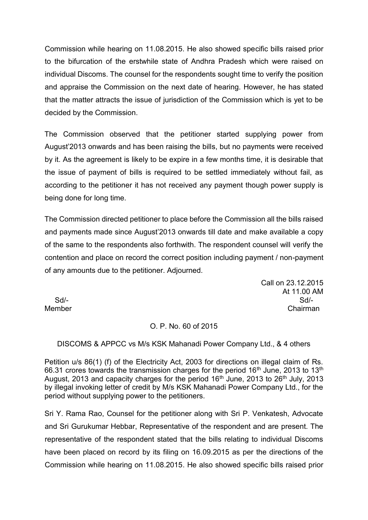Commission while hearing on 11.08.2015. He also showed specific bills raised prior to the bifurcation of the erstwhile state of Andhra Pradesh which were raised on individual Discoms. The counsel for the respondents sought time to verify the position and appraise the Commission on the next date of hearing. However, he has stated that the matter attracts the issue of jurisdiction of the Commission which is yet to be decided by the Commission.

The Commission observed that the petitioner started supplying power from August'2013 onwards and has been raising the bills, but no payments were received by it. As the agreement is likely to be expire in a few months time, it is desirable that the issue of payment of bills is required to be settled immediately without fail, as according to the petitioner it has not received any payment though power supply is being done for long time.

The Commission directed petitioner to place before the Commission all the bills raised and payments made since August'2013 onwards till date and make available a copy of the same to the respondents also forthwith. The respondent counsel will verify the contention and place on record the correct position including payment / non-payment of any amounts due to the petitioner. Adjourned.

Call on 23.12.2015 At 11.00 AM Sd/- Sd/- Member Chairman

### O. P. No. 60 of 2015

DISCOMS & APPCC vs M/s KSK Mahanadi Power Company Ltd., & 4 others

Petition u/s 86(1) (f) of the Electricity Act, 2003 for directions on illegal claim of Rs. 66.31 crores towards the transmission charges for the period  $16<sup>th</sup>$  June, 2013 to 13<sup>th</sup> August, 2013 and capacity charges for the period  $16<sup>th</sup>$  June, 2013 to 26<sup>th</sup> July, 2013 by illegal invoking letter of credit by M/s KSK Mahanadi Power Company Ltd., for the period without supplying power to the petitioners.

Sri Y. Rama Rao, Counsel for the petitioner along with Sri P. Venkatesh, Advocate and Sri Gurukumar Hebbar, Representative of the respondent and are present. The representative of the respondent stated that the bills relating to individual Discoms have been placed on record by its filing on 16.09.2015 as per the directions of the Commission while hearing on 11.08.2015. He also showed specific bills raised prior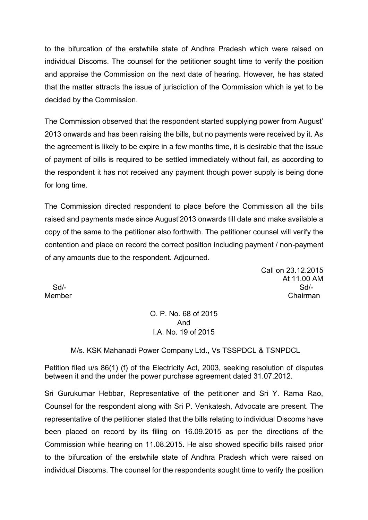to the bifurcation of the erstwhile state of Andhra Pradesh which were raised on individual Discoms. The counsel for the petitioner sought time to verify the position and appraise the Commission on the next date of hearing. However, he has stated that the matter attracts the issue of jurisdiction of the Commission which is yet to be decided by the Commission.

The Commission observed that the respondent started supplying power from August' 2013 onwards and has been raising the bills, but no payments were received by it. As the agreement is likely to be expire in a few months time, it is desirable that the issue of payment of bills is required to be settled immediately without fail, as according to the respondent it has not received any payment though power supply is being done for long time.

The Commission directed respondent to place before the Commission all the bills raised and payments made since August'2013 onwards till date and make available a copy of the same to the petitioner also forthwith. The petitioner counsel will verify the contention and place on record the correct position including payment / non-payment of any amounts due to the respondent. Adjourned.

Call on 23.12.2015 At 11.00 AM Sd/- Sd/- Member Chairman

O. P. No. 68 of 2015 And I.A. No. 19 of 2015

M/s. KSK Mahanadi Power Company Ltd., Vs TSSPDCL & TSNPDCL

Petition filed u/s 86(1) (f) of the Electricity Act, 2003, seeking resolution of disputes between it and the under the power purchase agreement dated 31.07.2012.

Sri Gurukumar Hebbar, Representative of the petitioner and Sri Y. Rama Rao, Counsel for the respondent along with Sri P. Venkatesh, Advocate are present. The representative of the petitioner stated that the bills relating to individual Discoms have been placed on record by its filing on 16.09.2015 as per the directions of the Commission while hearing on 11.08.2015. He also showed specific bills raised prior to the bifurcation of the erstwhile state of Andhra Pradesh which were raised on individual Discoms. The counsel for the respondents sought time to verify the position